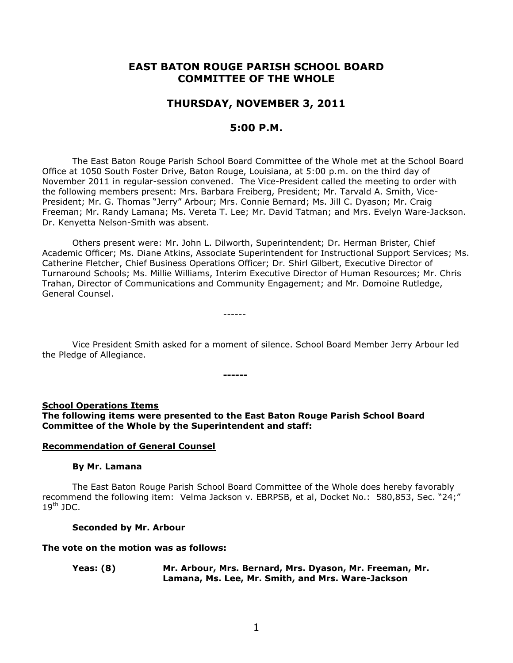# **EAST BATON ROUGE PARISH SCHOOL BOARD COMMITTEE OF THE WHOLE**

# **THURSDAY, NOVEMBER 3, 2011**

## **5:00 P.M.**

The East Baton Rouge Parish School Board Committee of the Whole met at the School Board Office at 1050 South Foster Drive, Baton Rouge, Louisiana, at 5:00 p.m. on the third day of November 2011 in regular-session convened. The Vice-President called the meeting to order with the following members present: Mrs. Barbara Freiberg, President; Mr. Tarvald A. Smith, Vice-President; Mr. G. Thomas "Jerry" Arbour; Mrs. Connie Bernard; Ms. Jill C. Dyason; Mr. Craig Freeman; Mr. Randy Lamana; Ms. Vereta T. Lee; Mr. David Tatman; and Mrs. Evelyn Ware-Jackson. Dr. Kenyetta Nelson-Smith was absent.

Others present were: Mr. John L. Dilworth, Superintendent; Dr. Herman Brister, Chief Academic Officer; Ms. Diane Atkins, Associate Superintendent for Instructional Support Services; Ms. Catherine Fletcher, Chief Business Operations Officer; Dr. Shirl Gilbert, Executive Director of Turnaround Schools; Ms. Millie Williams, Interim Executive Director of Human Resources; Mr. Chris Trahan, Director of Communications and Community Engagement; and Mr. Domoine Rutledge, General Counsel.

------

Vice President Smith asked for a moment of silence. School Board Member Jerry Arbour led the Pledge of Allegiance.

**------**

#### **School Operations Items**

**The following items were presented to the East Baton Rouge Parish School Board Committee of the Whole by the Superintendent and staff:**

#### **Recommendation of General Counsel**

#### **By Mr. Lamana**

The East Baton Rouge Parish School Board Committee of the Whole does hereby favorably recommend the following item: Velma Jackson v. EBRPSB, et al, Docket No.: 580,853, Sec. "24;"  $19<sup>th</sup>$  JDC.

#### **Seconded by Mr. Arbour**

#### **The vote on the motion was as follows:**

**Yeas: (8) Mr. Arbour, Mrs. Bernard, Mrs. Dyason, Mr. Freeman, Mr. Lamana, Ms. Lee, Mr. Smith, and Mrs. Ware-Jackson**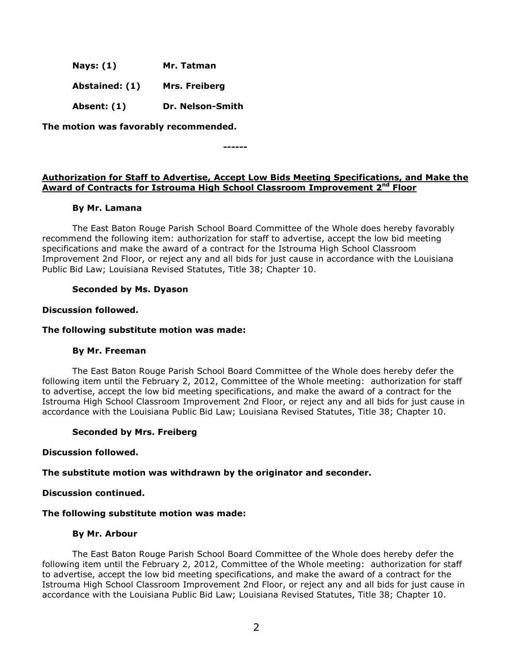| <b>Nays: (1)</b> | Mr. Tatman |
|------------------|------------|
|------------------|------------|

**Abstained: (1) Mrs. Freiberg**

**Absent: (1) Dr. Nelson-Smith**

**The motion was favorably recommended.**

**------**

## **Authorization for Staff to Advertise, Accept Low Bids Meeting Specifications, and Make the Award of Contracts for Istrouma High School Classroom Improvement 2nd Floor**

## **By Mr. Lamana**

The East Baton Rouge Parish School Board Committee of the Whole does hereby favorably recommend the following item: authorization for staff to advertise, accept the low bid meeting specifications and make the award of a contract for the Istrouma High School Classroom Improvement 2nd Floor, or reject any and all bids for just cause in accordance with the Louisiana Public Bid Law; Louisiana Revised Statutes, Title 38; Chapter 10.

## **Seconded by Ms. Dyason**

### **Discussion followed.**

## **The following substitute motion was made:**

### **By Mr. Freeman**

The East Baton Rouge Parish School Board Committee of the Whole does hereby defer the following item until the February 2, 2012, Committee of the Whole meeting: authorization for staff to advertise, accept the low bid meeting specifications, and make the award of a contract for the Istrouma High School Classroom Improvement 2nd Floor, or reject any and all bids for just cause in accordance with the Louisiana Public Bid Law; Louisiana Revised Statutes, Title 38; Chapter 10.

### **Seconded by Mrs. Freiberg**

### **Discussion followed.**

### **The substitute motion was withdrawn by the originator and seconder.**

### **Discussion continued.**

### **The following substitute motion was made:**

### **By Mr. Arbour**

The East Baton Rouge Parish School Board Committee of the Whole does hereby defer the following item until the February 2, 2012, Committee of the Whole meeting: authorization for staff to advertise, accept the low bid meeting specifications, and make the award of a contract for the Istrouma High School Classroom Improvement 2nd Floor, or reject any and all bids for just cause in accordance with the Louisiana Public Bid Law; Louisiana Revised Statutes, Title 38; Chapter 10.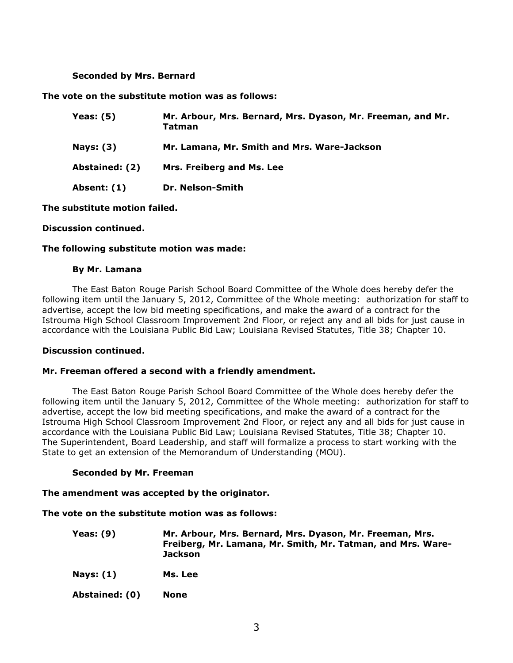#### **Seconded by Mrs. Bernard**

#### **The vote on the substitute motion was as follows:**

| Yeas: (5)      | Mr. Arbour, Mrs. Bernard, Mrs. Dyason, Mr. Freeman, and Mr.<br>Tatman |
|----------------|-----------------------------------------------------------------------|
| Nays: (3)      | Mr. Lamana, Mr. Smith and Mrs. Ware-Jackson                           |
| Abstained: (2) | Mrs. Freiberg and Ms. Lee                                             |
| Absent: (1)    | Dr. Nelson-Smith                                                      |

**The substitute motion failed.**

#### **Discussion continued.**

#### **The following substitute motion was made:**

#### **By Mr. Lamana**

The East Baton Rouge Parish School Board Committee of the Whole does hereby defer the following item until the January 5, 2012, Committee of the Whole meeting: authorization for staff to advertise, accept the low bid meeting specifications, and make the award of a contract for the Istrouma High School Classroom Improvement 2nd Floor, or reject any and all bids for just cause in accordance with the Louisiana Public Bid Law; Louisiana Revised Statutes, Title 38; Chapter 10.

#### **Discussion continued.**

### **Mr. Freeman offered a second with a friendly amendment.**

The East Baton Rouge Parish School Board Committee of the Whole does hereby defer the following item until the January 5, 2012, Committee of the Whole meeting: authorization for staff to advertise, accept the low bid meeting specifications, and make the award of a contract for the Istrouma High School Classroom Improvement 2nd Floor, or reject any and all bids for just cause in accordance with the Louisiana Public Bid Law; Louisiana Revised Statutes, Title 38; Chapter 10. The Superintendent, Board Leadership, and staff will formalize a process to start working with the State to get an extension of the Memorandum of Understanding (MOU).

#### **Seconded by Mr. Freeman**

#### **The amendment was accepted by the originator.**

#### **The vote on the substitute motion was as follows:**

- **Yeas: (9) Mr. Arbour, Mrs. Bernard, Mrs. Dyason, Mr. Freeman, Mrs. Freiberg, Mr. Lamana, Mr. Smith, Mr. Tatman, and Mrs. Ware-Jackson**
- **Nays: (1) Ms. Lee**
- **Abstained: (0) None**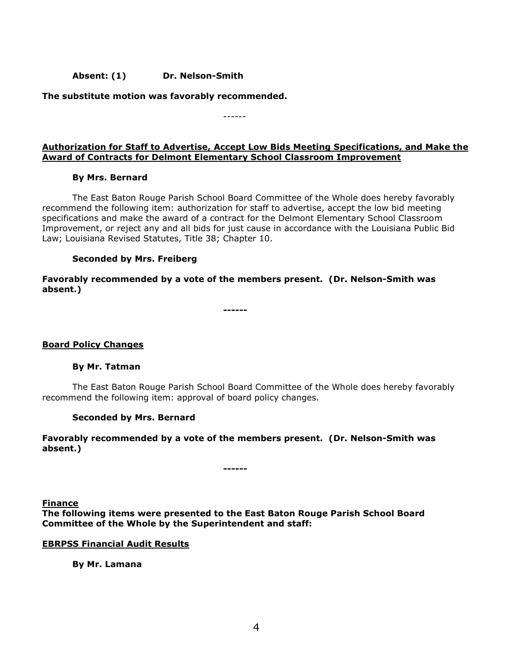## **Absent: (1) Dr. Nelson-Smith**

**The substitute motion was favorably recommended.**

------

### **Authorization for Staff to Advertise, Accept Low Bids Meeting Specifications, and Make the Award of Contracts for Delmont Elementary School Classroom Improvement**

### **By Mrs. Bernard**

The East Baton Rouge Parish School Board Committee of the Whole does hereby favorably recommend the following item: authorization for staff to advertise, accept the low bid meeting specifications and make the award of a contract for the Delmont Elementary School Classroom Improvement, or reject any and all bids for just cause in accordance with the Louisiana Public Bid Law; Louisiana Revised Statutes, Title 38; Chapter 10.

### **Seconded by Mrs. Freiberg**

**Favorably recommended by a vote of the members present. (Dr. Nelson-Smith was absent.)**

**------**

### **Board Policy Changes**

### **By Mr. Tatman**

The East Baton Rouge Parish School Board Committee of the Whole does hereby favorably recommend the following item: approval of board policy changes.

### **Seconded by Mrs. Bernard**

### **Favorably recommended by a vote of the members present. (Dr. Nelson-Smith was absent.)**

**Finance The following items were presented to the East Baton Rouge Parish School Board Committee of the Whole by the Superintendent and staff:**

**------**

#### **EBRPSS Financial Audit Results**

### **By Mr. Lamana**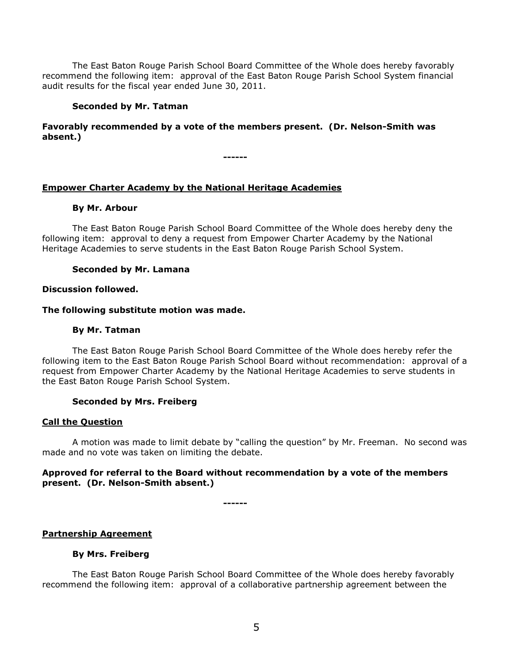The East Baton Rouge Parish School Board Committee of the Whole does hereby favorably recommend the following item: approval of the East Baton Rouge Parish School System financial audit results for the fiscal year ended June 30, 2011.

### **Seconded by Mr. Tatman**

### **Favorably recommended by a vote of the members present. (Dr. Nelson-Smith was absent.)**

**------**

### **Empower Charter Academy by the National Heritage Academies**

#### **By Mr. Arbour**

The East Baton Rouge Parish School Board Committee of the Whole does hereby deny the following item: approval to deny a request from Empower Charter Academy by the National Heritage Academies to serve students in the East Baton Rouge Parish School System.

#### **Seconded by Mr. Lamana**

#### **Discussion followed.**

#### **The following substitute motion was made.**

#### **By Mr. Tatman**

The East Baton Rouge Parish School Board Committee of the Whole does hereby refer the following item to the East Baton Rouge Parish School Board without recommendation: approval of a request from Empower Charter Academy by the National Heritage Academies to serve students in the East Baton Rouge Parish School System.

#### **Seconded by Mrs. Freiberg**

#### **Call the Question**

A motion was made to limit debate by "calling the question" by Mr. Freeman. No second was made and no vote was taken on limiting the debate.

### **Approved for referral to the Board without recommendation by a vote of the members present. (Dr. Nelson-Smith absent.)**

**------**

### **Partnership Agreement**

#### **By Mrs. Freiberg**

The East Baton Rouge Parish School Board Committee of the Whole does hereby favorably recommend the following item: approval of a collaborative partnership agreement between the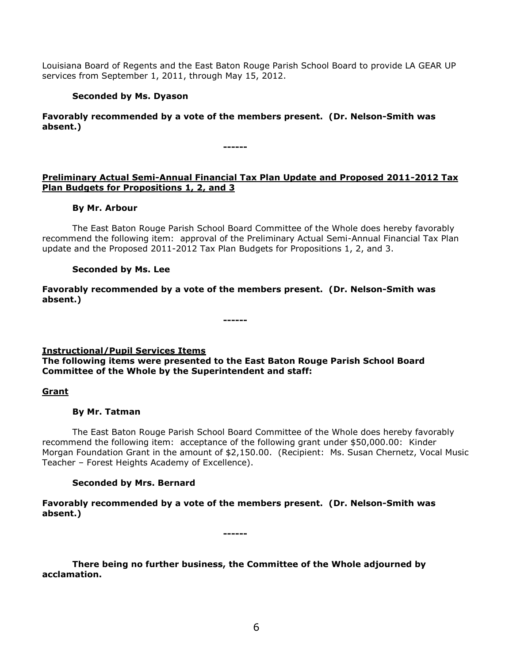Louisiana Board of Regents and the East Baton Rouge Parish School Board to provide LA GEAR UP services from September 1, 2011, through May 15, 2012.

## **Seconded by Ms. Dyason**

**Favorably recommended by a vote of the members present. (Dr. Nelson-Smith was absent.)**

**------**

## **Preliminary Actual Semi-Annual Financial Tax Plan Update and Proposed 2011-2012 Tax Plan Budgets for Propositions 1, 2, and 3**

### **By Mr. Arbour**

The East Baton Rouge Parish School Board Committee of the Whole does hereby favorably recommend the following item: approval of the Preliminary Actual Semi-Annual Financial Tax Plan update and the Proposed 2011-2012 Tax Plan Budgets for Propositions 1, 2, and 3.

## **Seconded by Ms. Lee**

**Favorably recommended by a vote of the members present. (Dr. Nelson-Smith was absent.)**

**Instructional/Pupil Services Items**

**The following items were presented to the East Baton Rouge Parish School Board Committee of the Whole by the Superintendent and staff:**

**------**

### **Grant**

### **By Mr. Tatman**

The East Baton Rouge Parish School Board Committee of the Whole does hereby favorably recommend the following item: acceptance of the following grant under \$50,000.00: Kinder Morgan Foundation Grant in the amount of \$2,150.00. (Recipient: Ms. Susan Chernetz, Vocal Music Teacher – Forest Heights Academy of Excellence).

## **Seconded by Mrs. Bernard**

**Favorably recommended by a vote of the members present. (Dr. Nelson-Smith was absent.)**

**------**

**There being no further business, the Committee of the Whole adjourned by acclamation.**